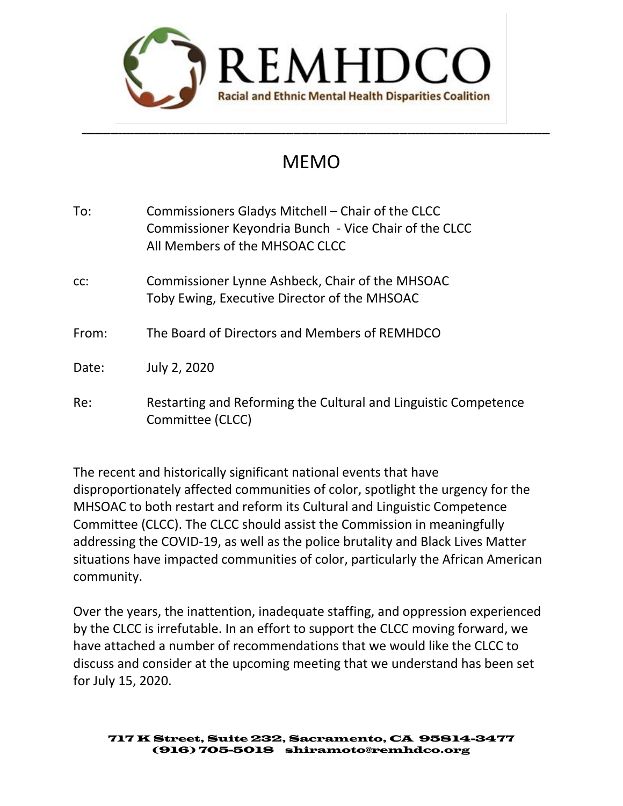

# MEMO

\_\_\_\_\_\_\_\_\_\_\_\_\_\_\_\_\_\_\_\_\_\_\_\_\_\_\_\_\_\_\_\_\_\_\_\_\_\_\_\_\_\_\_\_\_\_\_\_\_\_\_\_\_\_\_\_\_\_\_\_\_\_\_\_\_\_\_\_\_\_\_\_\_\_\_\_\_\_\_\_\_\_\_\_\_\_\_\_\_\_\_\_\_\_\_\_\_\_\_\_\_\_\_\_\_\_\_\_\_\_\_\_\_\_\_

| Commissioners Gladys Mitchell - Chair of the CLCC<br>Commissioner Keyondria Bunch - Vice Chair of the CLCC<br>All Members of the MHSOAC CLCC |
|----------------------------------------------------------------------------------------------------------------------------------------------|
| Commissioner Lynne Ashbeck, Chair of the MHSOAC<br>Toby Ewing, Executive Director of the MHSOAC                                              |
| The Board of Directors and Members of REMHDCO                                                                                                |
| July 2, 2020                                                                                                                                 |
| Restarting and Reforming the Cultural and Linguistic Competence<br>Committee (CLCC)                                                          |
|                                                                                                                                              |

The recent and historically significant national events that have disproportionately affected communities of color, spotlight the urgency for the MHSOAC to both restart and reform its Cultural and Linguistic Competence Committee (CLCC). The CLCC should assist the Commission in meaningfully addressing the COVID-19, as well as the police brutality and Black Lives Matter situations have impacted communities of color, particularly the African American community.

Over the years, the inattention, inadequate staffing, and oppression experienced by the CLCC is irrefutable. In an effort to support the CLCC moving forward, we have attached a number of recommendations that we would like the CLCC to discuss and consider at the upcoming meeting that we understand has been set for July 15, 2020.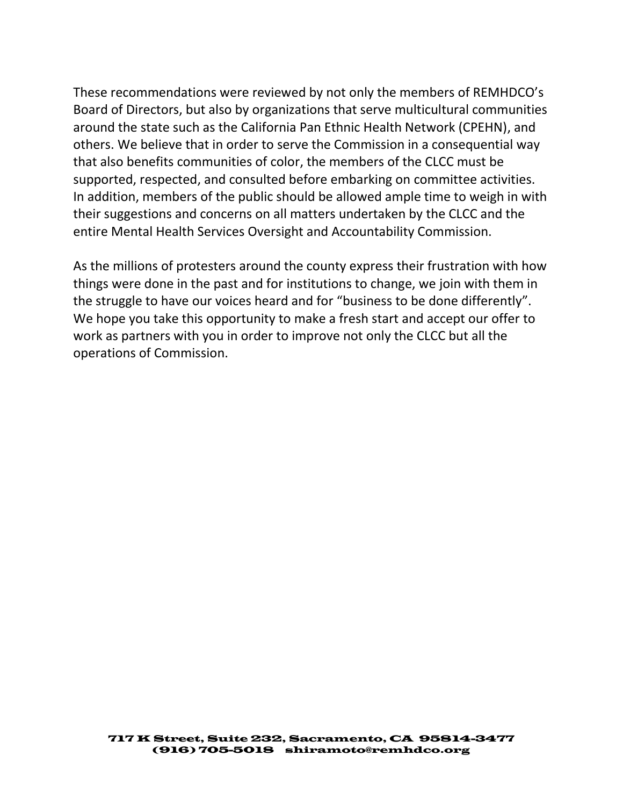These recommendations were reviewed by not only the members of REMHDCO's Board of Directors, but also by organizations that serve multicultural communities around the state such as the California Pan Ethnic Health Network (CPEHN), and others. We believe that in order to serve the Commission in a consequential way that also benefits communities of color, the members of the CLCC must be supported, respected, and consulted before embarking on committee activities. In addition, members of the public should be allowed ample time to weigh in with their suggestions and concerns on all matters undertaken by the CLCC and the entire Mental Health Services Oversight and Accountability Commission.

As the millions of protesters around the county express their frustration with how things were done in the past and for institutions to change, we join with them in the struggle to have our voices heard and for "business to be done differently". We hope you take this opportunity to make a fresh start and accept our offer to work as partners with you in order to improve not only the CLCC but all the operations of Commission.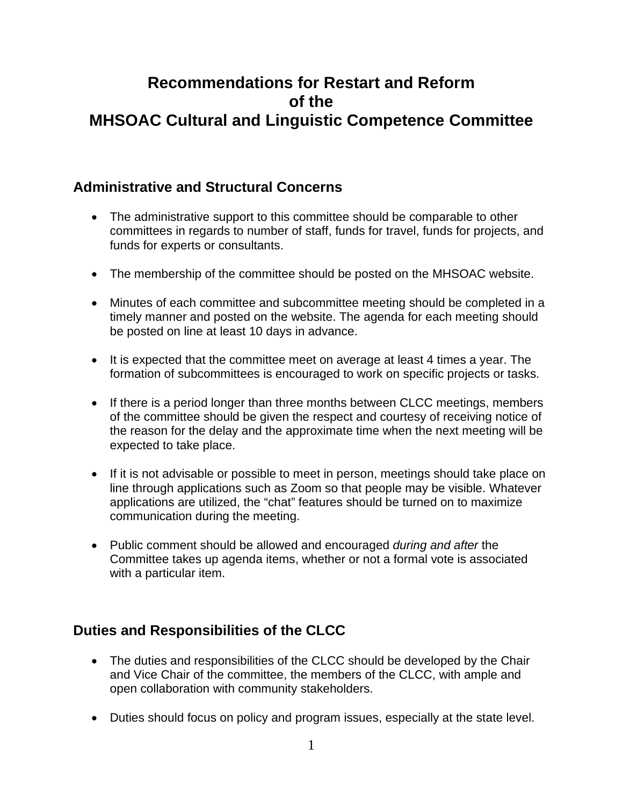## **Recommendations for Restart and Reform of the MHSOAC Cultural and Linguistic Competence Committee**

#### **Administrative and Structural Concerns**

- The administrative support to this committee should be comparable to other committees in regards to number of staff, funds for travel, funds for projects, and funds for experts or consultants.
- The membership of the committee should be posted on the MHSOAC website.
- Minutes of each committee and subcommittee meeting should be completed in a timely manner and posted on the website. The agenda for each meeting should be posted on line at least 10 days in advance.
- It is expected that the committee meet on average at least 4 times a year. The formation of subcommittees is encouraged to work on specific projects or tasks.
- If there is a period longer than three months between CLCC meetings, members of the committee should be given the respect and courtesy of receiving notice of the reason for the delay and the approximate time when the next meeting will be expected to take place.
- If it is not advisable or possible to meet in person, meetings should take place on line through applications such as Zoom so that people may be visible. Whatever applications are utilized, the "chat" features should be turned on to maximize communication during the meeting.
- Public comment should be allowed and encouraged *during and after* the Committee takes up agenda items, whether or not a formal vote is associated with a particular item.

### **Duties and Responsibilities of the CLCC**

- The duties and responsibilities of the CLCC should be developed by the Chair and Vice Chair of the committee, the members of the CLCC, with ample and open collaboration with community stakeholders.
- Duties should focus on policy and program issues, especially at the state level.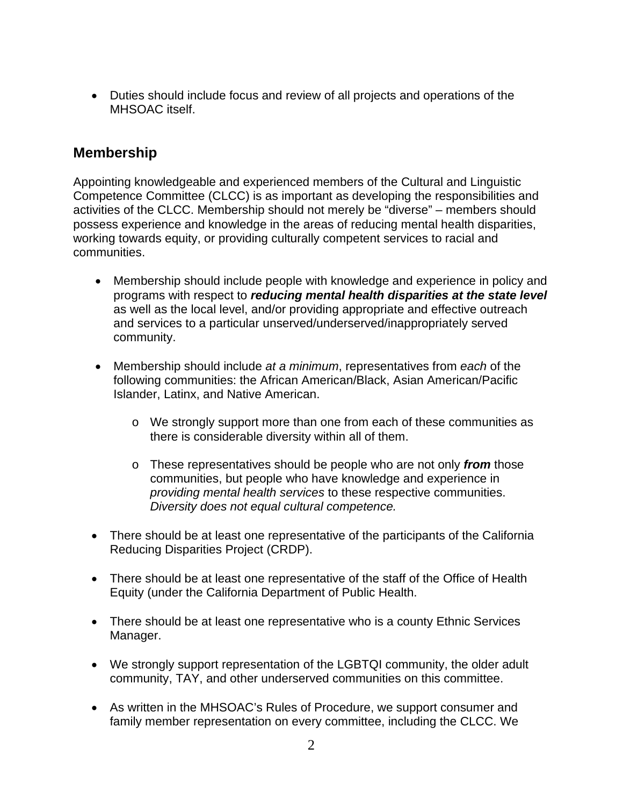• Duties should include focus and review of all projects and operations of the MHSOAC itself.

#### **Membership**

Appointing knowledgeable and experienced members of the Cultural and Linguistic Competence Committee (CLCC) is as important as developing the responsibilities and activities of the CLCC. Membership should not merely be "diverse" – members should possess experience and knowledge in the areas of reducing mental health disparities, working towards equity, or providing culturally competent services to racial and communities.

- Membership should include people with knowledge and experience in policy and programs with respect to *reducing mental health disparities at the state level*  as well as the local level, and/or providing appropriate and effective outreach and services to a particular unserved/underserved/inappropriately served community.
- Membership should include *at a minimum*, representatives from *each* of the following communities: the African American/Black, Asian American/Pacific Islander, Latinx, and Native American.
	- o We strongly support more than one from each of these communities as there is considerable diversity within all of them.
	- o These representatives should be people who are not only *from* those communities, but people who have knowledge and experience in *providing mental health services* to these respective communities. *Diversity does not equal cultural competence.*
- There should be at least one representative of the participants of the California Reducing Disparities Project (CRDP).
- There should be at least one representative of the staff of the Office of Health Equity (under the California Department of Public Health.
- There should be at least one representative who is a county Ethnic Services Manager.
- We strongly support representation of the LGBTQI community, the older adult community, TAY, and other underserved communities on this committee.
- As written in the MHSOAC's Rules of Procedure, we support consumer and family member representation on every committee, including the CLCC. We